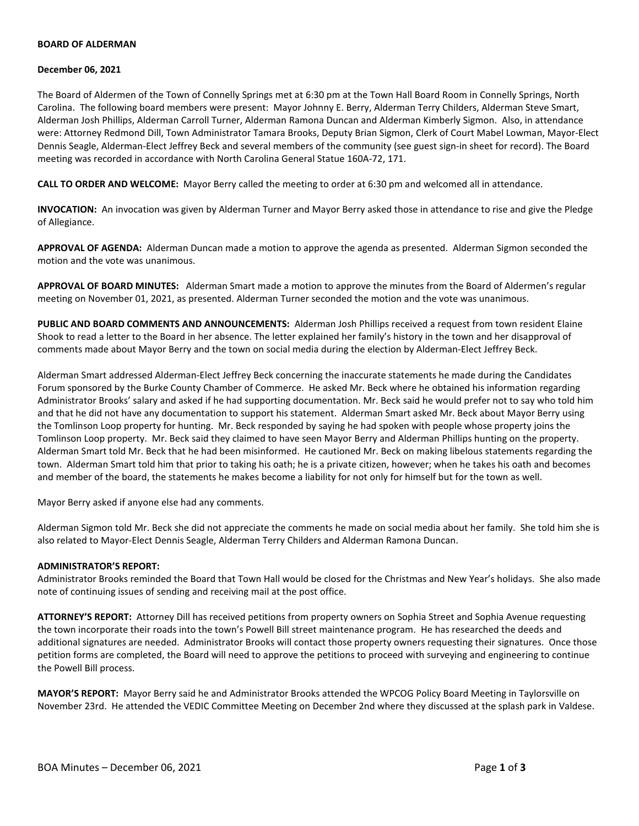### **BOARD OF ALDERMAN**

#### **December 06, 2021**

The Board of Aldermen of the Town of Connelly Springs met at 6:30 pm at the Town Hall Board Room in Connelly Springs, North Carolina. The following board members were present: Mayor Johnny E. Berry, Alderman Terry Childers, Alderman Steve Smart, Alderman Josh Phillips, Alderman Carroll Turner, Alderman Ramona Duncan and Alderman Kimberly Sigmon. Also, in attendance were: Attorney Redmond Dill, Town Administrator Tamara Brooks, Deputy Brian Sigmon, Clerk of Court Mabel Lowman, Mayor-Elect Dennis Seagle, Alderman-Elect Jeffrey Beck and several members of the community (see guest sign-in sheet for record). The Board meeting was recorded in accordance with North Carolina General Statue 160A-72, 171.

**CALL TO ORDER AND WELCOME:** Mayor Berry called the meeting to order at 6:30 pm and welcomed all in attendance.

**INVOCATION:** An invocation was given by Alderman Turner and Mayor Berry asked those in attendance to rise and give the Pledge of Allegiance.

**APPROVAL OF AGENDA:** Alderman Duncan made a motion to approve the agenda as presented. Alderman Sigmon seconded the motion and the vote was unanimous.

**APPROVAL OF BOARD MINUTES:** Alderman Smart made a motion to approve the minutes from the Board of Aldermen's regular meeting on November 01, 2021, as presented. Alderman Turner seconded the motion and the vote was unanimous.

**PUBLIC AND BOARD COMMENTS AND ANNOUNCEMENTS:** Alderman Josh Phillips received a request from town resident Elaine Shook to read a letter to the Board in her absence. The letter explained her family's history in the town and her disapproval of comments made about Mayor Berry and the town on social media during the election by Alderman-Elect Jeffrey Beck.

Alderman Smart addressed Alderman-Elect Jeffrey Beck concerning the inaccurate statements he made during the Candidates Forum sponsored by the Burke County Chamber of Commerce. He asked Mr. Beck where he obtained his information regarding Administrator Brooks' salary and asked if he had supporting documentation. Mr. Beck said he would prefer not to say who told him and that he did not have any documentation to support his statement. Alderman Smart asked Mr. Beck about Mayor Berry using the Tomlinson Loop property for hunting. Mr. Beck responded by saying he had spoken with people whose property joins the Tomlinson Loop property. Mr. Beck said they claimed to have seen Mayor Berry and Alderman Phillips hunting on the property. Alderman Smart told Mr. Beck that he had been misinformed. He cautioned Mr. Beck on making libelous statements regarding the town. Alderman Smart told him that prior to taking his oath; he is a private citizen, however; when he takes his oath and becomes and member of the board, the statements he makes become a liability for not only for himself but for the town as well.

Mayor Berry asked if anyone else had any comments.

Alderman Sigmon told Mr. Beck she did not appreciate the comments he made on social media about her family. She told him she is also related to Mayor-Elect Dennis Seagle, Alderman Terry Childers and Alderman Ramona Duncan.

### **ADMINISTRATOR'S REPORT:**

Administrator Brooks reminded the Board that Town Hall would be closed for the Christmas and New Year's holidays. She also made note of continuing issues of sending and receiving mail at the post office.

**ATTORNEY'S REPORT:** Attorney Dill has received petitions from property owners on Sophia Street and Sophia Avenue requesting the town incorporate their roads into the town's Powell Bill street maintenance program. He has researched the deeds and additional signatures are needed. Administrator Brooks will contact those property owners requesting their signatures. Once those petition forms are completed, the Board will need to approve the petitions to proceed with surveying and engineering to continue the Powell Bill process.

**MAYOR'S REPORT:** Mayor Berry said he and Administrator Brooks attended the WPCOG Policy Board Meeting in Taylorsville on November 23rd. He attended the VEDIC Committee Meeting on December 2nd where they discussed at the splash park in Valdese.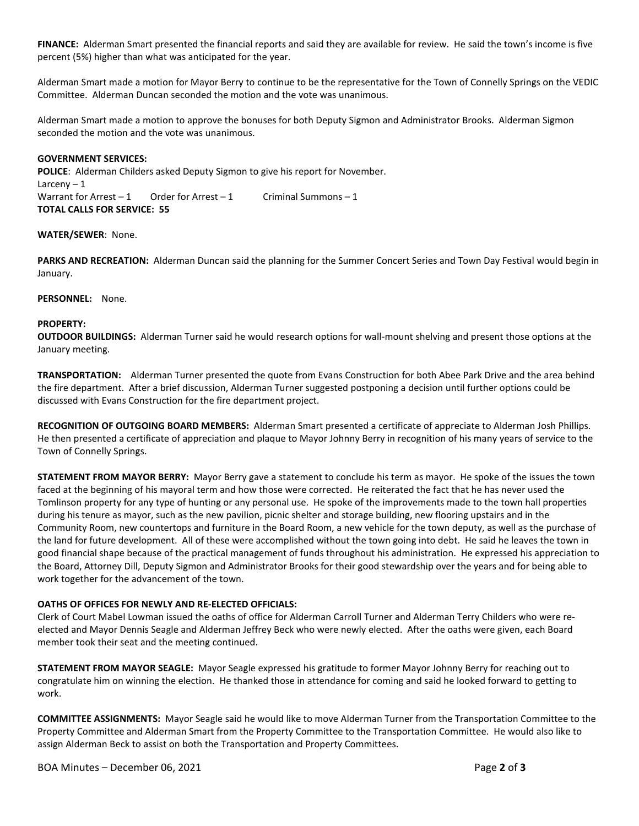**FINANCE:** Alderman Smart presented the financial reports and said they are available for review. He said the town's income is five percent (5%) higher than what was anticipated for the year.

Alderman Smart made a motion for Mayor Berry to continue to be the representative for the Town of Connelly Springs on the VEDIC Committee. Alderman Duncan seconded the motion and the vote was unanimous.

Alderman Smart made a motion to approve the bonuses for both Deputy Sigmon and Administrator Brooks. Alderman Sigmon seconded the motion and the vote was unanimous.

### **GOVERNMENT SERVICES:**

**POLICE**: Alderman Childers asked Deputy Sigmon to give his report for November. Larceny – 1 Warrant for Arrest – 1 Order for Arrest – 1 Criminal Summons – 1 **TOTAL CALLS FOR SERVICE: 55**

## **WATER/SEWER**: None.

**PARKS AND RECREATION:** Alderman Duncan said the planning for the Summer Concert Series and Town Day Festival would begin in January.

**PERSONNEL:** None.

## **PROPERTY:**

**OUTDOOR BUILDINGS:** Alderman Turner said he would research options for wall-mount shelving and present those options at the January meeting.

**TRANSPORTATION:** Alderman Turner presented the quote from Evans Construction for both Abee Park Drive and the area behind the fire department. After a brief discussion, Alderman Turner suggested postponing a decision until further options could be discussed with Evans Construction for the fire department project.

**RECOGNITION OF OUTGOING BOARD MEMBERS:** Alderman Smart presented a certificate of appreciate to Alderman Josh Phillips. He then presented a certificate of appreciation and plaque to Mayor Johnny Berry in recognition of his many years of service to the Town of Connelly Springs.

**STATEMENT FROM MAYOR BERRY:** Mayor Berry gave a statement to conclude his term as mayor. He spoke of the issues the town faced at the beginning of his mayoral term and how those were corrected. He reiterated the fact that he has never used the Tomlinson property for any type of hunting or any personal use. He spoke of the improvements made to the town hall properties during his tenure as mayor, such as the new pavilion, picnic shelter and storage building, new flooring upstairs and in the Community Room, new countertops and furniture in the Board Room, a new vehicle for the town deputy, as well as the purchase of the land for future development. All of these were accomplished without the town going into debt. He said he leaves the town in good financial shape because of the practical management of funds throughout his administration. He expressed his appreciation to the Board, Attorney Dill, Deputy Sigmon and Administrator Brooks for their good stewardship over the years and for being able to work together for the advancement of the town.

# **OATHS OF OFFICES FOR NEWLY AND RE-ELECTED OFFICIALS:**

Clerk of Court Mabel Lowman issued the oaths of office for Alderman Carroll Turner and Alderman Terry Childers who were reelected and Mayor Dennis Seagle and Alderman Jeffrey Beck who were newly elected. After the oaths were given, each Board member took their seat and the meeting continued.

**STATEMENT FROM MAYOR SEAGLE:** Mayor Seagle expressed his gratitude to former Mayor Johnny Berry for reaching out to congratulate him on winning the election. He thanked those in attendance for coming and said he looked forward to getting to work.

**COMMITTEE ASSIGNMENTS:** Mayor Seagle said he would like to move Alderman Turner from the Transportation Committee to the Property Committee and Alderman Smart from the Property Committee to the Transportation Committee. He would also like to assign Alderman Beck to assist on both the Transportation and Property Committees.